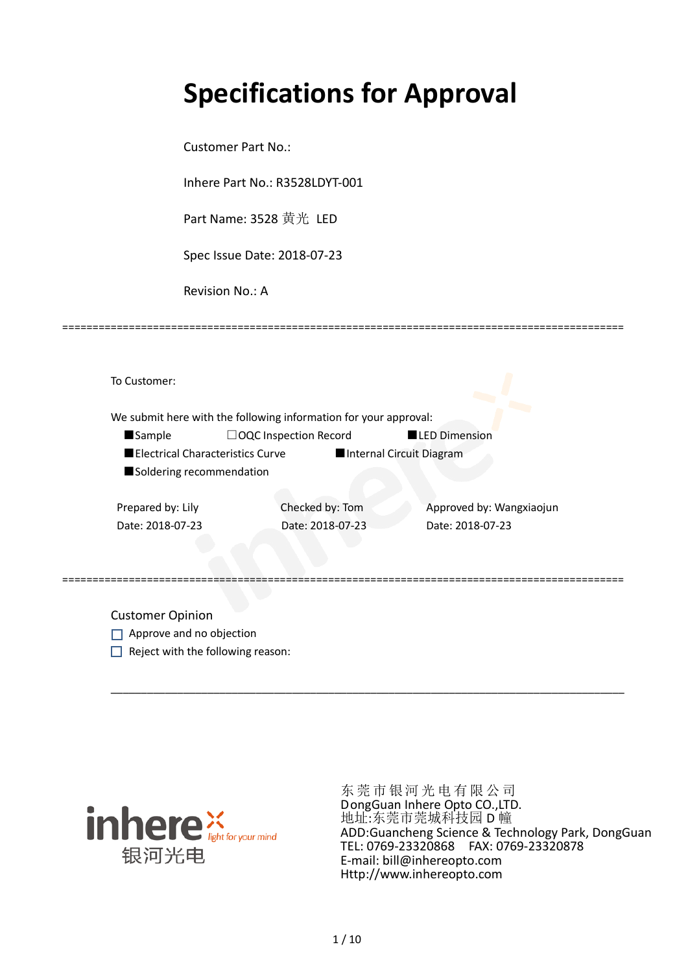# **Specifications for Approval**

Customer Part No.:

Inhere Part No.: R3528LDYT-001

Part Name: 3528 黄光 LED

Spec Issue Date: 2018-07-23

Revision No.: A

|                   |                                  | We submit here with the following information for your approval: |                          |
|-------------------|----------------------------------|------------------------------------------------------------------|--------------------------|
| <b>Sample</b>     |                                  | □OQC Inspection Record                                           | <b>LED Dimension</b>     |
|                   | Electrical Characteristics Curve |                                                                  | Internal Circuit Diagram |
|                   | Soldering recommendation         |                                                                  |                          |
|                   |                                  |                                                                  |                          |
| Prepared by: Lily |                                  | Checked by: Tom                                                  | Approved by: Wangxiaojun |
| Date: 2018-07-23  |                                  | Date: 2018-07-23                                                 | Date: 2018-07-23         |
|                   |                                  |                                                                  |                          |
|                   |                                  |                                                                  |                          |

\_\_\_\_\_\_\_\_\_\_\_\_\_\_\_\_\_\_\_\_\_\_\_\_\_\_\_\_\_\_\_\_\_\_\_\_\_\_\_\_\_\_\_\_\_\_\_\_\_\_\_\_\_\_\_\_\_\_\_\_\_\_\_\_\_\_\_\_\_\_\_\_\_\_\_\_\_\_\_\_\_\_\_\_\_

=============================================================================================

Customer Opinion

- Approve and no objection
- $\Box$  Reject with the following reason:



东莞市银河光电有限公司 DongGuan Inhere Opto CO.,LTD. 地址:东莞市莞城科技园 D 幢 ADD:Guancheng Science & Technology Park, DongGuan TEL: 0769-23320868 FAX: 0769-23320878 E-mail: bill@inhereopto.com Http://www.inhereopto.com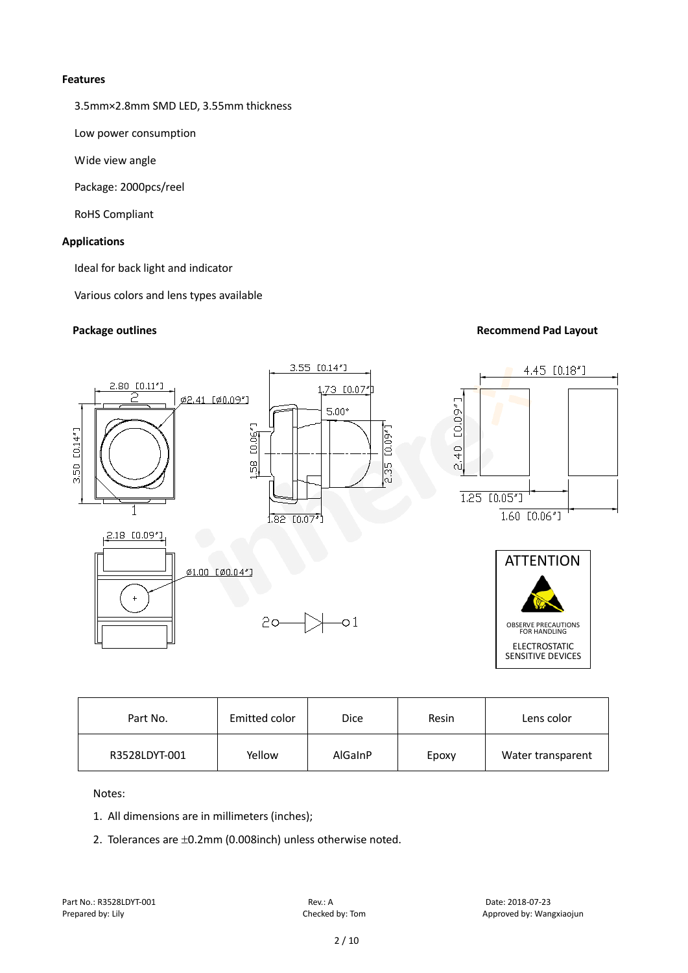#### **Features**

3.5mm×2.8mm SMD LED, 3.55mm thickness

Low power consumption

Wide view angle

Package: 2000pcs/reel

RoHS Compliant

# **Applications**

Ideal for back light and indicator

Various colors and lens types available

# **Package outlines Recommend Pad Layout Recommend Pad Layout**



| Part No.      | Emitted color | <b>Dice</b> | Resin | Lens color        |
|---------------|---------------|-------------|-------|-------------------|
| R3528LDYT-001 | Yellow        | AlGaInP     | Epoxy | Water transparent |

Notes:

- 1. All dimensions are in millimeters (inches);
- 2. Tolerances are ±0.2mm (0.008inch) unless otherwise noted.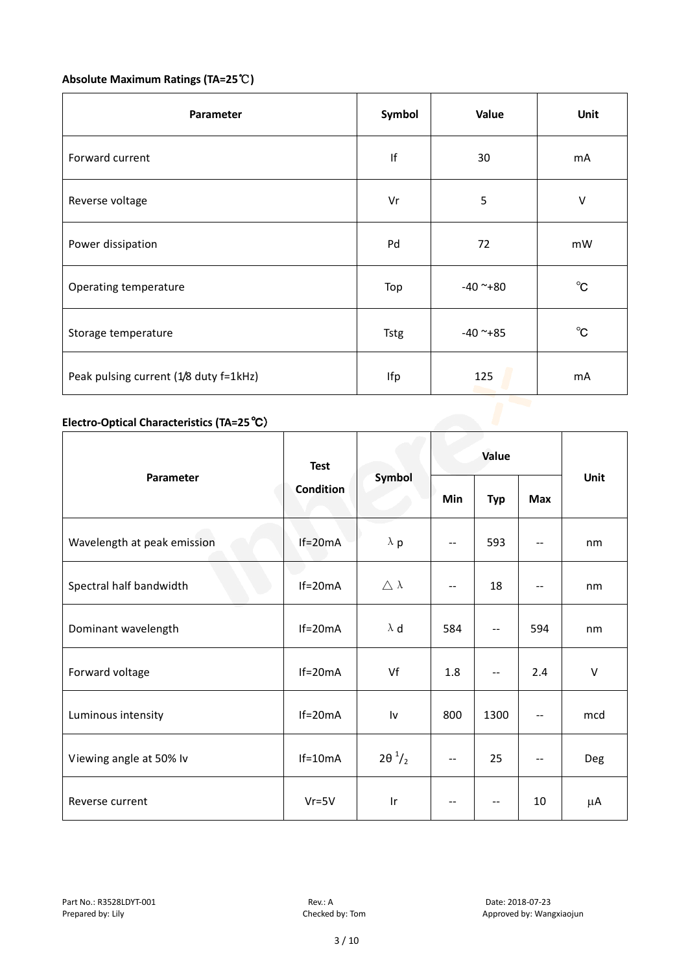# **Absolute Maximum Ratings (TA=25**℃**)**

| mA           |
|--------------|
| $\sf V$      |
| mW           |
| $^{\circ}$ C |
| $^{\circ}$ C |
| mA           |
|              |

# **Electro-Optical Characteristics (TA=25**℃)

|                             | <b>Test</b><br>Condition | Symbol                  | Value                    |                          |            |             |
|-----------------------------|--------------------------|-------------------------|--------------------------|--------------------------|------------|-------------|
| <b>Parameter</b>            |                          |                         | Min                      | <b>Typ</b>               | <b>Max</b> | <b>Unit</b> |
| Wavelength at peak emission | $If=20mA$                | $\lambda$ p             | $\overline{\phantom{m}}$ | 593                      | --         | nm          |
| Spectral half bandwidth     | $If=20mA$                | $\triangle \lambda$     | --                       | 18                       | $- -$      | nm          |
| Dominant wavelength         | $If=20mA$                | $\lambda$ d             | 584                      | --                       | 594        | nm          |
| Forward voltage             | $If=20mA$                | Vf                      | 1.8                      | --                       | 2.4        | V           |
| Luminous intensity          | $If=20mA$                | l٧                      | 800                      | 1300                     | $- -$      | mcd         |
| Viewing angle at 50% lv     | $If=10mA$                | $2\theta^{1/2}$         | --                       | 25                       | --         | Deg         |
| Reverse current             | $Vr = 5V$                | $\mathsf{I} \mathsf{r}$ | $-\,-$                   | $\overline{\phantom{m}}$ | 10         | μA          |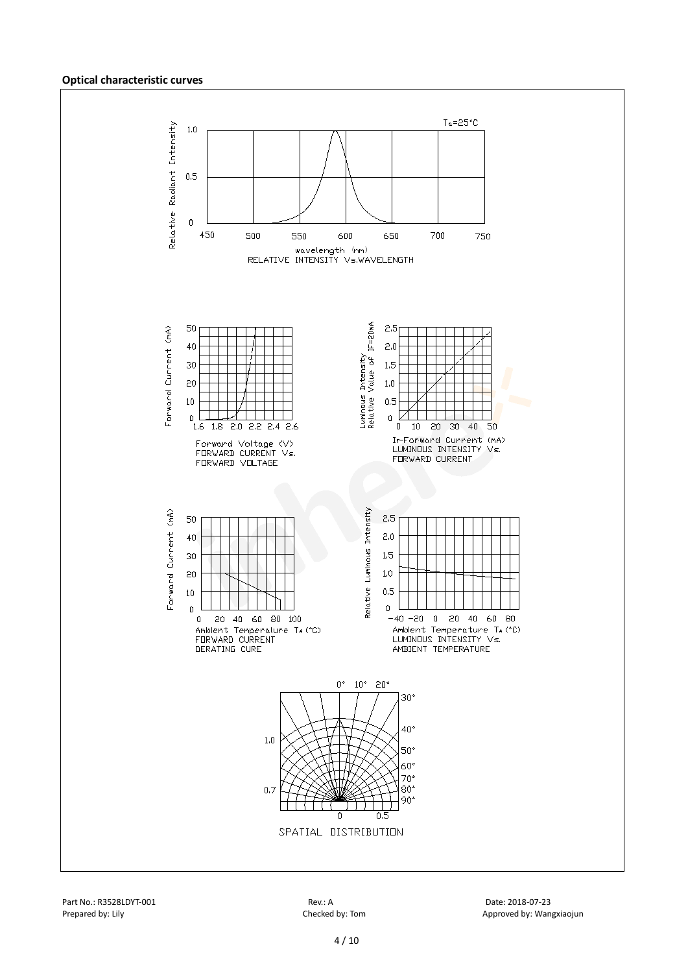#### **Optical characteristic curves**

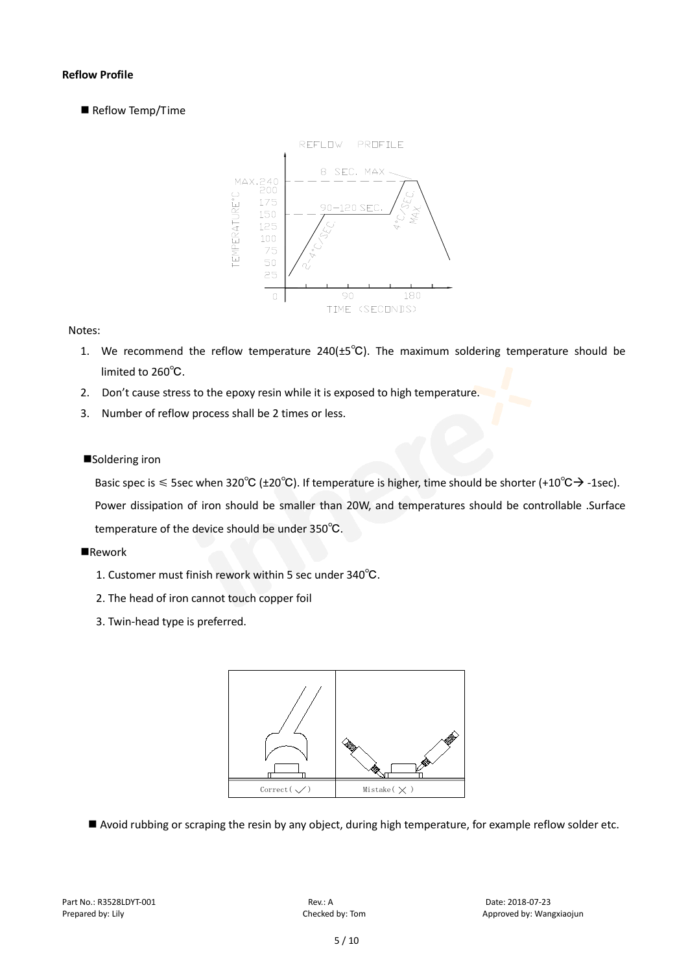## **Reflow Profile**

Reflow Temp/Time



#### Notes:

- 1. We recommend the reflow temperature 240(±5℃). The maximum soldering temperature should be limited to 260℃.
- 2. Don't cause stress to the epoxy resin while it is exposed to high temperature.
- 3. Number of reflow process shall be 2 times or less.

### ■Soldering iron

Basic spec is  $\leq$  5sec when 320°C (±20°C). If temperature is higher, time should be shorter (+10°C $\rightarrow$ -1sec). Power dissipation of iron should be smaller than 20W, and temperatures should be controllable .Surface temperature of the device should be under 350℃.

### **Rework**

- 1. Customer must finish rework within 5 sec under 340℃.
- 2. The head of iron cannot touch copper foil
- 3. Twin-head type is preferred.



■ Avoid rubbing or scraping the resin by any object, during high temperature, for example reflow solder etc.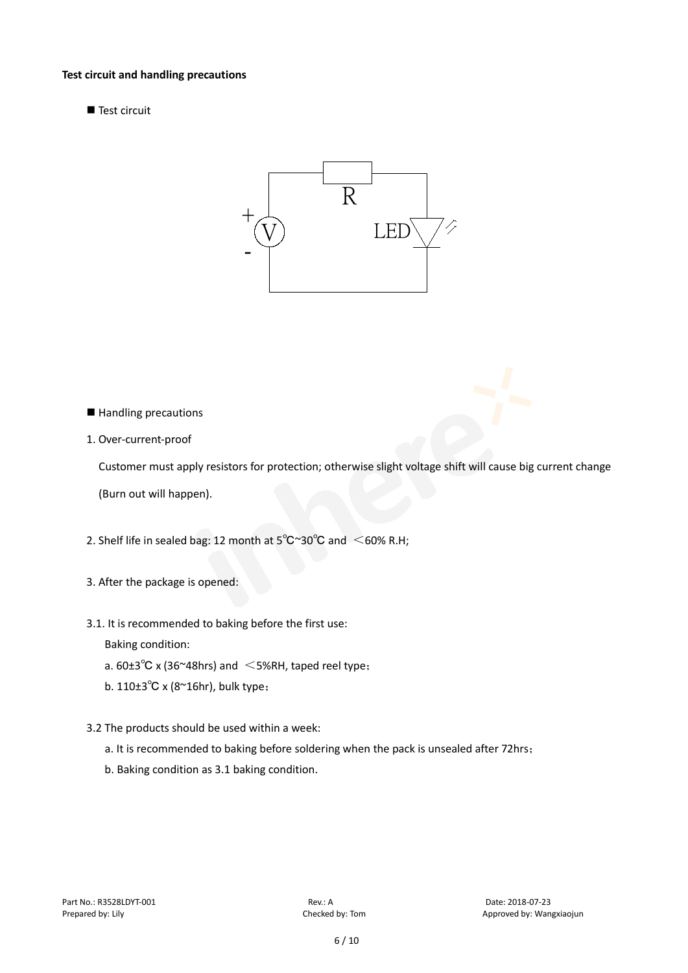#### **Test circuit and handling precautions**

 $\blacksquare$  Test circuit



- Handling precautions
- 1. Over-current-proof

Customer must apply resistors for protection; otherwise slight voltage shift will cause big current change

(Burn out will happen).

- 2. Shelf life in sealed bag: 12 month at  $5^{\circ}$ C $^{\sim}$ 30 $^{\circ}$ C and  $\leq$  60% R.H;
- 3. After the package is opened:
- 3.1. It is recommended to baking before the first use:

Baking condition:

- a.  $60±3^{\circ}C$  x (36~48hrs) and  $\leq$  5%RH, taped reel type;
- b. 110±3℃ x (8~16hr), bulk type;
- 3.2 The products should be used within a week:
	- a. It is recommended to baking before soldering when the pack is unsealed after 72hrs;
	- b. Baking condition as 3.1 baking condition.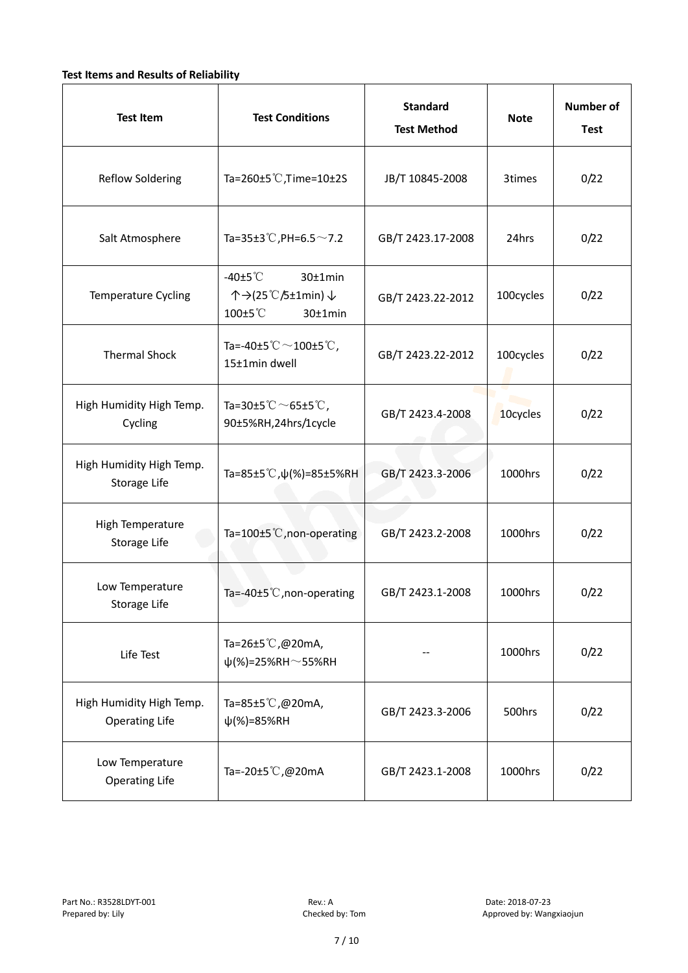# **Test Items and Results of Reliability**

| <b>Test Item</b>                                  | <b>Standard</b><br><b>Test Conditions</b><br><b>Test Method</b>                |                   | <b>Note</b> | <b>Number of</b><br><b>Test</b> |
|---------------------------------------------------|--------------------------------------------------------------------------------|-------------------|-------------|---------------------------------|
| <b>Reflow Soldering</b>                           | Ta=260±5 °C, Time=10±2S                                                        | JB/T 10845-2008   | 3times      | 0/22                            |
| Salt Atmosphere                                   | Ta=35±3°C, PH=6.5 $\sim$ 7.2<br>GB/T 2423.17-2008                              |                   | 24hrs       | 0/22                            |
| Temperature Cycling                               | -40 $±5^{\circ}$ C<br>$30±1$ min<br>个→(25℃/5±1min) ↓<br>100±5°C<br>$30±1$ min  | GB/T 2423.22-2012 | 100cycles   | 0/22                            |
| <b>Thermal Shock</b>                              | Ta=-40±5 $\degree \text{C}$ $\sim$ 100±5 $\degree \text{C}$ ,<br>15±1min dwell | GB/T 2423.22-2012 |             | 0/22                            |
| High Humidity High Temp.<br>Cycling               | Ta=30±5 °C $\sim$ 65±5 °C,<br>90±5%RH,24hrs/1cycle                             | GB/T 2423.4-2008  | 10cycles    | 0/22                            |
| High Humidity High Temp.<br>Storage Life          | Ta=85±5 °C, $\psi$ (%)=85±5%RH                                                 | GB/T 2423.3-2006  | 1000hrs     | 0/22                            |
| High Temperature<br><b>Storage Life</b>           | Ta=100±5°C, non-operating                                                      | GB/T 2423.2-2008  | 1000hrs     | 0/22                            |
| Low Temperature<br>Storage Life                   | Ta=-40±5 $°C$ , non-operating                                                  | GB/T 2423.1-2008  | 1000hrs     | 0/22                            |
| Life Test                                         | Ta=26±5 °C,@20mA,<br>$\psi$ (%)=25%RH~55%RH                                    |                   | 1000hrs     | 0/22                            |
| High Humidity High Temp.<br><b>Operating Life</b> | Ta=85±5 $\degree$ C, @20mA,<br>$\psi$ (%)=85%RH                                | GB/T 2423.3-2006  | 500hrs      | 0/22                            |
| Low Temperature<br><b>Operating Life</b>          | Ta=-20±5 °C,@20mA                                                              | GB/T 2423.1-2008  | 1000hrs     | 0/22                            |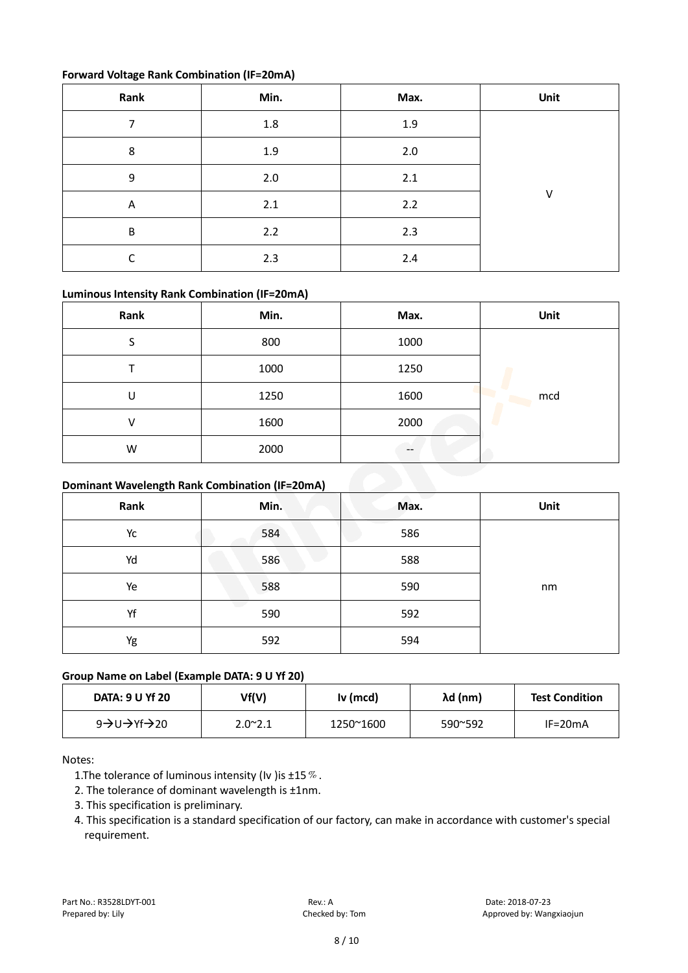## **Forward Voltage Rank Combination (IF=20mA)**

| Rank | Min.    | Max.  | Unit |
|------|---------|-------|------|
| ⇁    | $1.8\,$ | 1.9   |      |
| 8    | 1.9     | $2.0$ |      |
| 9    | 2.0     | 2.1   |      |
| A    | 2.1     | 2.2   | V    |
| B    | 2.2     | 2.3   |      |
| r    | 2.3     | 2.4   |      |

# **Luminous Intensity Rank Combination (IF=20mA)**

| Rank                                           | Min. | Max.  | Unit |  |
|------------------------------------------------|------|-------|------|--|
| S                                              | 800  | 1000  |      |  |
|                                                | 1000 | 1250  |      |  |
| U                                              | 1250 | 1600  | mcd  |  |
| v                                              | 1600 | 2000  |      |  |
| W                                              | 2000 | $- -$ |      |  |
| Dominant Wavelength Rank Combination (IF=20mA) |      |       |      |  |

# **Dominant Wavelength Rank Combination (IF=20mA)**

| Rank | Min. | Max. | Unit |
|------|------|------|------|
| Yc   | 584  | 586  |      |
| Yd   | 586  | 588  |      |
| Ye   | 588  | 590  | nm   |
| Yf   | 590  | 592  |      |
| Yg   | 592  | 594  |      |

# **Group Name on Label (Example DATA: 9 U Yf 20)**

| DATA: 9 U Yf 20 | Vf(V)            | Iv (mcd)  | λd (nm)          | <b>Test Condition</b> |
|-----------------|------------------|-----------|------------------|-----------------------|
| 9→U→Yf→20       | $2.0^{\circ}2.1$ | 1250~1600 | $590^{\circ}592$ | $IF = 20mA$           |

# Notes:

- 1. The tolerance of luminous intensity (Iv ) is  $\pm 15\%$ .
- 2. The tolerance of dominant wavelength is ±1nm.
- 3. This specification is preliminary.
- 4. This specification is a standard specification of our factory, can make in accordance with customer's special requirement.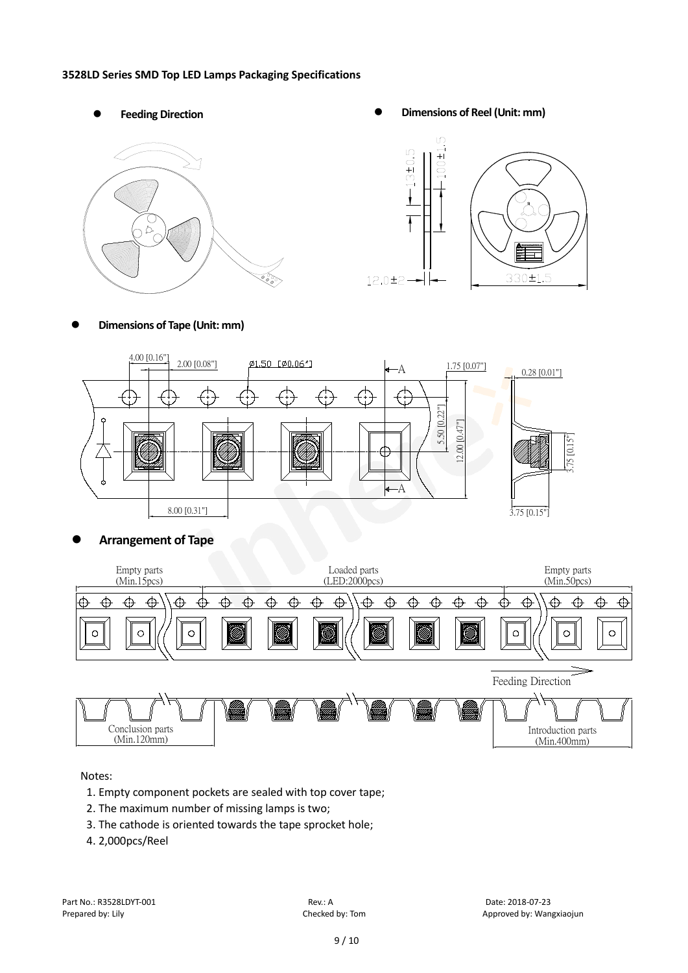#### **3528LD Series SMD Top LED Lamps Packaging Specifications**



Feeding Direction **Constanting Constanting Constanting Constanting Constanting Constanting Constanting Constanting Constanting Constanting Constanting Constanting Constanting Constanting Constanting Constanting Constanting** 



**Dimensions of Tape (Unit: mm)**



# **Arrangement of Tape**



Notes:

- 1. Empty component pockets are sealed with top cover tape;
- 2. The maximum number of missing lamps is two;
- 3. The cathode is oriented towards the tape sprocket hole;
- 4. 2,000pcs/Reel